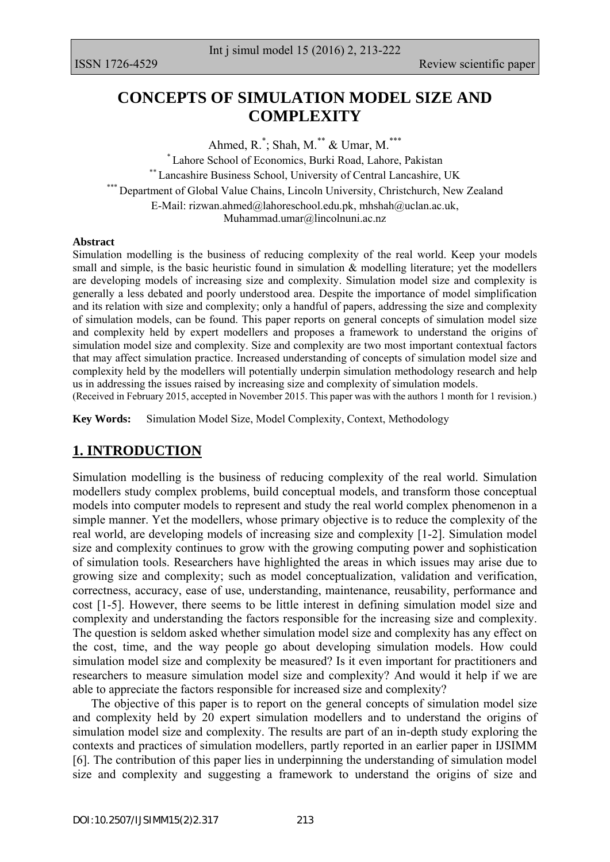# **CONCEPTS OF SIMULATION MODEL SIZE AND COMPLEXITY**

Ahmed, R.<sup>\*</sup>; Shah, M.<sup>\*\*</sup> & Umar, M.<sup>\*\*\*</sup>

\* Lahore School of Economics, Burki Road, Lahore, Pakistan \*\* Lancashire Business School, University of Central Lancashire, UK \* Department of Global Value Chains, Lincoln University, Christchurch, New Zealand E-Mail: [rizwan.ahmed@lahoreschool.edu.pk,](mailto:rizwan.ahmed@lahoreschool.edu.pk) [mhshah@uclan.ac.uk,](mailto:mhshah@uclan.ac.uk) [Muhammad.umar@lincolnuni.ac.nz](mailto:Muhammad.umar@lincolnuni.ac.nz)

#### **Abstract**

Simulation modelling is the business of reducing complexity of the real world. Keep your models small and simple, is the basic heuristic found in simulation & modelling literature; yet the modellers are developing models of increasing size and complexity. Simulation model size and complexity is generally a less debated and poorly understood area. Despite the importance of model simplification and its relation with size and complexity; only a handful of papers, addressing the size and complexity of simulation models, can be found. This paper reports on general concepts of simulation model size and complexity held by expert modellers and proposes a framework to understand the origins of simulation model size and complexity. Size and complexity are two most important contextual factors that may affect simulation practice. Increased understanding of concepts of simulation model size and complexity held by the modellers will potentially underpin simulation methodology research and help us in addressing the issues raised by increasing size and complexity of simulation models. (Received in February 2015, accepted in November 2015. This paper was with the authors 1 month for 1 revision.)

**Key Words:** Simulation Model Size, Model Complexity, Context, Methodology

### **1. INTRODUCTION**

Simulation modelling is the business of reducing complexity of the real world. Simulation modellers study complex problems, build conceptual models, and transform those conceptual models into computer models to represent and study the real world complex phenomenon in a simple manner. Yet the modellers, whose primary objective is to reduce the complexity of the real world, are developing models of increasing size and complexity [1-2]. Simulation model size and complexity continues to grow with the growing computing power and sophistication of simulation tools. Researchers have highlighted the areas in which issues may arise due to growing size and complexity; such as model conceptualization, validation and verification, correctness, accuracy, ease of use, understanding, maintenance, reusability, performance and cost [1-5]. However, there seems to be little interest in defining simulation model size and complexity and understanding the factors responsible for the increasing size and complexity. The question is seldom asked whether simulation model size and complexity has any effect on the cost, time, and the way people go about developing simulation models. How could simulation model size and complexity be measured? Is it even important for practitioners and researchers to measure simulation model size and complexity? And would it help if we are able to appreciate the factors responsible for increased size and complexity?

 The objective of this paper is to report on the general concepts of simulation model size and complexity held by 20 expert simulation modellers and to understand the origins of simulation model size and complexity. The results are part of an in-depth study exploring the contexts and practices of simulation modellers, partly reported in an earlier paper in IJSIMM [6]. The contribution of this paper lies in underpinning the understanding of simulation model size and complexity and suggesting a framework to understand the origins of size and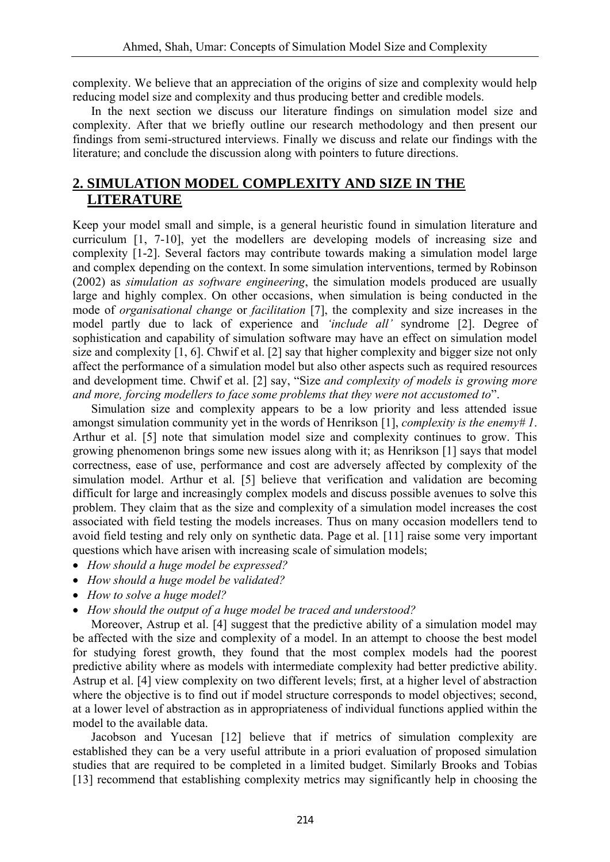complexity. We believe that an appreciation of the origins of size and complexity would help reducing model size and complexity and thus producing better and credible models.

 In the next section we discuss our literature findings on simulation model size and complexity. After that we briefly outline our research methodology and then present our findings from semi-structured interviews. Finally we discuss and relate our findings with the literature; and conclude the discussion along with pointers to future directions.

## **2. SIMULATION MODEL COMPLEXITY AND SIZE IN THE LITERATURE**

Keep your model small and simple, is a general heuristic found in simulation literature and curriculum [1, 7-10], yet the modellers are developing models of increasing size and complexity [1-2]. Several factors may contribute towards making a simulation model large and complex depending on the context. In some simulation interventions, termed by Robinson (2002) as *simulation as software engineering*, the simulation models produced are usually large and highly complex. On other occasions, when simulation is being conducted in the mode of *organisational change* or *facilitation* [7], the complexity and size increases in the model partly due to lack of experience and *'include all'* syndrome [2]. Degree of sophistication and capability of simulation software may have an effect on simulation model size and complexity [1, 6]. Chwif et al. [2] say that higher complexity and bigger size not only affect the performance of a simulation model but also other aspects such as required resources and development time. Chwif et al. [2] say, "Size *and complexity of models is growing more and more, forcing modellers to face some problems that they were not accustomed to*".

 Simulation size and complexity appears to be a low priority and less attended issue amongst simulation community yet in the words of Henrikson [1], *complexity is the enemy# 1*. Arthur et al. [5] note that simulation model size and complexity continues to grow. This growing phenomenon brings some new issues along with it; as Henrikson [1] says that model correctness, ease of use, performance and cost are adversely affected by complexity of the simulation model. Arthur et al. [5] believe that verification and validation are becoming difficult for large and increasingly complex models and discuss possible avenues to solve this problem. They claim that as the size and complexity of a simulation model increases the cost associated with field testing the models increases. Thus on many occasion modellers tend to avoid field testing and rely only on synthetic data. Page et al. [11] raise some very important questions which have arisen with increasing scale of simulation models;

- *How should a huge model be expressed?*
- *How should a huge model be validated?*
- *How to solve a huge model?*
- *How should the output of a huge model be traced and understood?*

 Moreover, Astrup et al. [4] suggest that the predictive ability of a simulation model may be affected with the size and complexity of a model. In an attempt to choose the best model for studying forest growth, they found that the most complex models had the poorest predictive ability where as models with intermediate complexity had better predictive ability. Astrup et al. [4] view complexity on two different levels; first, at a higher level of abstraction where the objective is to find out if model structure corresponds to model objectives; second, at a lower level of abstraction as in appropriateness of individual functions applied within the model to the available data.

 Jacobson and Yucesan [12] believe that if metrics of simulation complexity are established they can be a very useful attribute in a priori evaluation of proposed simulation studies that are required to be completed in a limited budget. Similarly Brooks and Tobias [13] recommend that establishing complexity metrics may significantly help in choosing the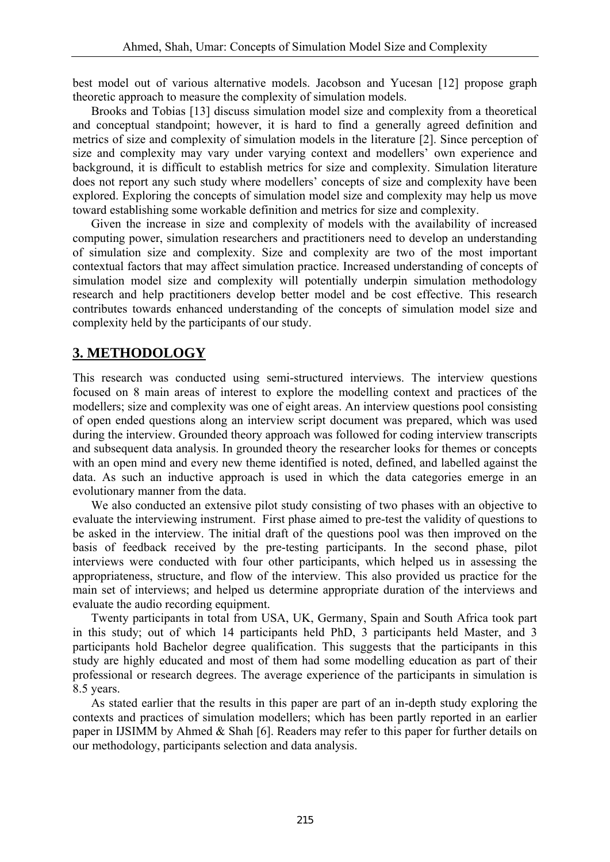best model out of various alternative models. Jacobson and Yucesan [12] propose graph theoretic approach to measure the complexity of simulation models.

 Brooks and Tobias [13] discuss simulation model size and complexity from a theoretical and conceptual standpoint; however, it is hard to find a generally agreed definition and metrics of size and complexity of simulation models in the literature [2]. Since perception of size and complexity may vary under varying context and modellers' own experience and background, it is difficult to establish metrics for size and complexity. Simulation literature does not report any such study where modellers' concepts of size and complexity have been explored. Exploring the concepts of simulation model size and complexity may help us move toward establishing some workable definition and metrics for size and complexity.

 Given the increase in size and complexity of models with the availability of increased computing power, simulation researchers and practitioners need to develop an understanding of simulation size and complexity. Size and complexity are two of the most important contextual factors that may affect simulation practice. Increased understanding of concepts of simulation model size and complexity will potentially underpin simulation methodology research and help practitioners develop better model and be cost effective. This research contributes towards enhanced understanding of the concepts of simulation model size and complexity held by the participants of our study.

## **3. METHODOLOGY**

This research was conducted using semi-structured interviews. The interview questions focused on 8 main areas of interest to explore the modelling context and practices of the modellers; size and complexity was one of eight areas. An interview questions pool consisting of open ended questions along an interview script document was prepared, which was used during the interview. Grounded theory approach was followed for coding interview transcripts and subsequent data analysis. In grounded theory the researcher looks for themes or concepts with an open mind and every new theme identified is noted, defined, and labelled against the data. As such an inductive approach is used in which the data categories emerge in an evolutionary manner from the data.

 We also conducted an extensive pilot study consisting of two phases with an objective to evaluate the interviewing instrument. First phase aimed to pre-test the validity of questions to be asked in the interview. The initial draft of the questions pool was then improved on the basis of feedback received by the pre-testing participants. In the second phase, pilot interviews were conducted with four other participants, which helped us in assessing the appropriateness, structure, and flow of the interview. This also provided us practice for the main set of interviews; and helped us determine appropriate duration of the interviews and evaluate the audio recording equipment.

 Twenty participants in total from USA, UK, Germany, Spain and South Africa took part in this study; out of which 14 participants held PhD, 3 participants held Master, and 3 participants hold Bachelor degree qualification. This suggests that the participants in this study are highly educated and most of them had some modelling education as part of their professional or research degrees. The average experience of the participants in simulation is 8.5 years.

 As stated earlier that the results in this paper are part of an in-depth study exploring the contexts and practices of simulation modellers; which has been partly reported in an earlier paper in IJSIMM by Ahmed & Shah [6]. Readers may refer to this paper for further details on our methodology, participants selection and data analysis.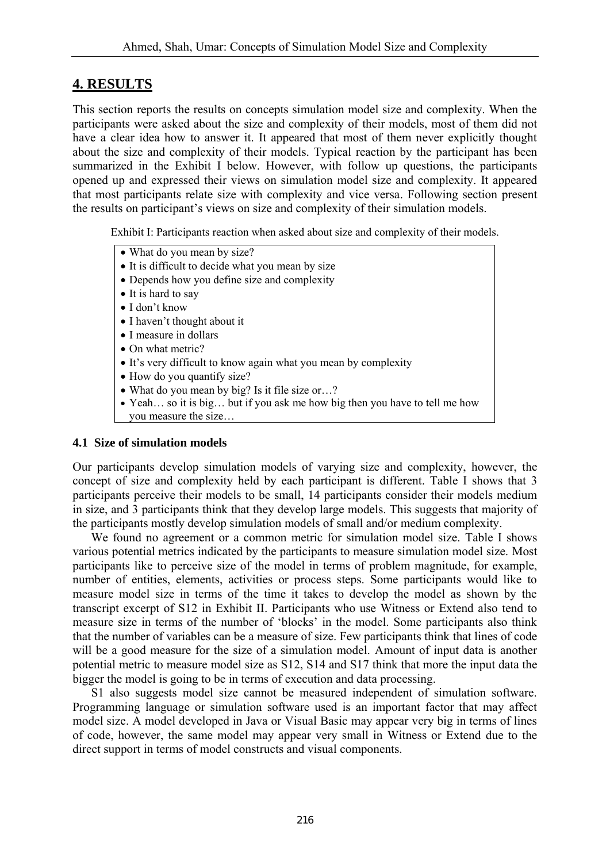## **4. RESULTS**

This section reports the results on concepts simulation model size and complexity. When the participants were asked about the size and complexity of their models, most of them did not have a clear idea how to answer it. It appeared that most of them never explicitly thought about the size and complexity of their models. Typical reaction by the participant has been summarized in the Exhibit I below. However, with follow up questions, the participants opened up and expressed their views on simulation model size and complexity. It appeared that most participants relate size with complexity and vice versa. Following section present the results on participant's views on size and complexity of their simulation models.

Exhibit I: Participants reaction when asked about size and complexity of their models.

- What do you mean by size?
- It is difficult to decide what you mean by size
- Depends how you define size and complexity
- It is hard to say
- I don't know
- I haven't thought about it
- I measure in dollars
- On what metric?
- It's very difficult to know again what you mean by complexity
- How do you quantify size?
- What do you mean by big? Is it file size or...?
- Yeah… so it is big… but if you ask me how big then you have to tell me how you measure the size…

#### **4.1 Size of simulation models**

Our participants develop simulation models of varying size and complexity, however, the concept of size and complexity held by each participant is different. Table I shows that 3 participants perceive their models to be small, 14 participants consider their models medium in size, and 3 participants think that they develop large models. This suggests that majority of the participants mostly develop simulation models of small and/or medium complexity.

 We found no agreement or a common metric for simulation model size. Table I shows various potential metrics indicated by the participants to measure simulation model size. Most participants like to perceive size of the model in terms of problem magnitude, for example, number of entities, elements, activities or process steps. Some participants would like to measure model size in terms of the time it takes to develop the model as shown by the transcript excerpt of S12 in Exhibit II. Participants who use Witness or Extend also tend to measure size in terms of the number of 'blocks' in the model. Some participants also think that the number of variables can be a measure of size. Few participants think that lines of code will be a good measure for the size of a simulation model. Amount of input data is another potential metric to measure model size as S12, S14 and S17 think that more the input data the bigger the model is going to be in terms of execution and data processing.

 S1 also suggests model size cannot be measured independent of simulation software. Programming language or simulation software used is an important factor that may affect model size. A model developed in Java or Visual Basic may appear very big in terms of lines of code, however, the same model may appear very small in Witness or Extend due to the direct support in terms of model constructs and visual components.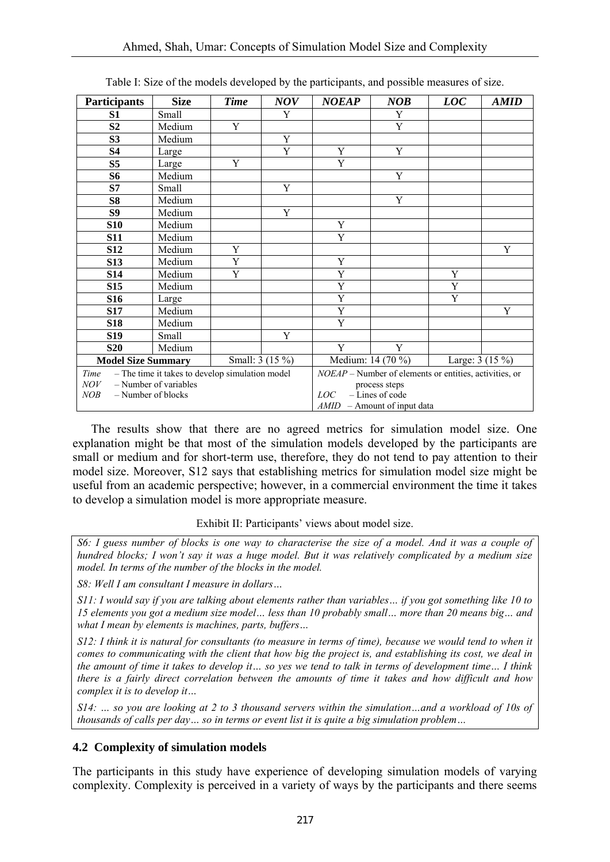| <b>Participants</b>                                     | <b>Size</b> | <b>Time</b>                   | NOV                                   | <b>NOEAP</b>                                           | NOB | <b>LOC</b> | <b>AMID</b> |  |  |
|---------------------------------------------------------|-------------|-------------------------------|---------------------------------------|--------------------------------------------------------|-----|------------|-------------|--|--|
| S <sub>1</sub>                                          | Small       |                               | Y                                     |                                                        | Y   |            |             |  |  |
| S <sub>2</sub>                                          | Medium      | Y                             |                                       |                                                        | Y   |            |             |  |  |
| S <sub>3</sub>                                          | Medium      |                               | Y                                     |                                                        |     |            |             |  |  |
| <b>S4</b>                                               | Large       |                               | Y                                     | Y                                                      | Y   |            |             |  |  |
| S <sub>5</sub>                                          | Large       | Y                             |                                       | Y                                                      |     |            |             |  |  |
| S6                                                      | Medium      |                               |                                       |                                                        | Y   |            |             |  |  |
| S7                                                      | Small       |                               | Y                                     |                                                        |     |            |             |  |  |
| S8                                                      | Medium      |                               |                                       |                                                        | Y   |            |             |  |  |
| <b>S9</b>                                               | Medium      |                               | Y                                     |                                                        |     |            |             |  |  |
| <b>S10</b>                                              | Medium      |                               |                                       | Y                                                      |     |            |             |  |  |
| <b>S11</b>                                              | Medium      |                               |                                       | Y                                                      |     |            |             |  |  |
| <b>S12</b>                                              | Medium      | Y                             |                                       |                                                        |     |            | Y           |  |  |
| <b>S13</b>                                              | Medium      | Y                             |                                       | Y                                                      |     |            |             |  |  |
| <b>S14</b>                                              | Medium      | Y                             |                                       | Y                                                      |     | Y          |             |  |  |
| <b>S15</b>                                              | Medium      |                               |                                       | Y                                                      |     | Y          |             |  |  |
| S <sub>16</sub>                                         | Large       |                               |                                       | Y                                                      |     | Y          |             |  |  |
| <b>S17</b>                                              | Medium      |                               |                                       | Y                                                      |     |            | Y           |  |  |
| <b>S18</b>                                              | Medium      |                               |                                       | Y                                                      |     |            |             |  |  |
| <b>S19</b>                                              | Small       |                               | Y                                     |                                                        |     |            |             |  |  |
| <b>S20</b>                                              | Medium      |                               |                                       | Y                                                      | Y   |            |             |  |  |
| <b>Model Size Summary</b><br>Small: 3 (15 %)            |             |                               | Medium: 14 (70 %)<br>Large: $3(15\%)$ |                                                        |     |            |             |  |  |
| - The time it takes to develop simulation model<br>Time |             |                               |                                       | NOEAP - Number of elements or entities, activities, or |     |            |             |  |  |
| NOV<br>- Number of variables                            |             |                               |                                       | process steps                                          |     |            |             |  |  |
| NOB<br>- Number of blocks                               |             |                               |                                       | - Lines of code<br>LOC                                 |     |            |             |  |  |
|                                                         |             | $AMID$ – Amount of input data |                                       |                                                        |     |            |             |  |  |

Table I: Size of the models developed by the participants, and possible measures of size.

 The results show that there are no agreed metrics for simulation model size. One explanation might be that most of the simulation models developed by the participants are small or medium and for short-term use, therefore, they do not tend to pay attention to their model size. Moreover, S12 says that establishing metrics for simulation model size might be useful from an academic perspective; however, in a commercial environment the time it takes to develop a simulation model is more appropriate measure.

#### Exhibit II: Participants' views about model size.

*S6: I guess number of blocks is one way to characterise the size of a model. And it was a couple of hundred blocks; I won't say it was a huge model. But it was relatively complicated by a medium size model. In terms of the number of the blocks in the model.* 

*S8: Well I am consultant I measure in dollars…*

*S11: I would say if you are talking about elements rather than variables… if you got something like 10 to 15 elements you got a medium size model… less than 10 probably small… more than 20 means big… and what I mean by elements is machines, parts, buffers…* 

*S12: I think it is natural for consultants (to measure in terms of time), because we would tend to when it comes to communicating with the client that how big the project is, and establishing its cost, we deal in the amount of time it takes to develop it… so yes we tend to talk in terms of development time… I think there is a fairly direct correlation between the amounts of time it takes and how difficult and how complex it is to develop it…* 

*S14: … so you are looking at 2 to 3 thousand servers within the simulation…and a workload of 10s of thousands of calls per day… so in terms or event list it is quite a big simulation problem…*

### **4.2 Complexity of simulation models**

The participants in this study have experience of developing simulation models of varying complexity. Complexity is perceived in a variety of ways by the participants and there seems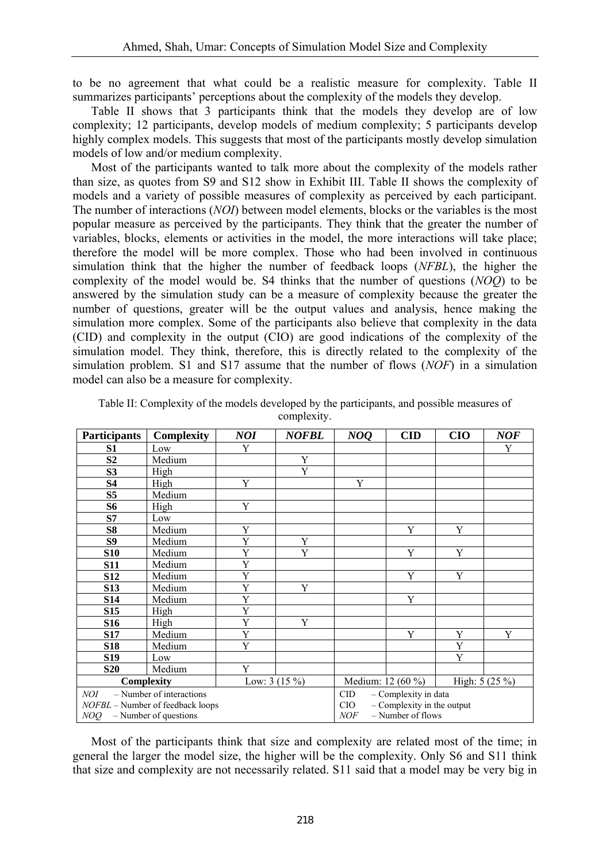to be no agreement that what could be a realistic measure for complexity. Table II summarizes participants' perceptions about the complexity of the models they develop.

 Table II shows that 3 participants think that the models they develop are of low complexity; 12 participants, develop models of medium complexity; 5 participants develop highly complex models. This suggests that most of the participants mostly develop simulation models of low and/or medium complexity.

 Most of the participants wanted to talk more about the complexity of the models rather than size, as quotes from S9 and S12 show in Exhibit III. Table II shows the complexity of models and a variety of possible measures of complexity as perceived by each participant. The number of interactions (*NOI*) between model elements, blocks or the variables is the most popular measure as perceived by the participants. They think that the greater the number of variables, blocks, elements or activities in the model, the more interactions will take place; therefore the model will be more complex. Those who had been involved in continuous simulation think that the higher the number of feedback loops (*NFBL*), the higher the complexity of the model would be. S4 thinks that the number of questions (*NOQ*) to be answered by the simulation study can be a measure of complexity because the greater the number of questions, greater will be the output values and analysis, hence making the simulation more complex. Some of the participants also believe that complexity in the data (CID) and complexity in the output (CIO) are good indications of the complexity of the simulation model. They think, therefore, this is directly related to the complexity of the simulation problem. S1 and S17 assume that the number of flows (*NOF*) in a simulation model can also be a measure for complexity.

| <b>Participants</b>                                                                                | <b>Complexity</b> | NOI            | <b>NOFBL</b> | NOQ                                                                                                 | <b>CID</b> | <b>CIO</b> | <b>NOF</b> |  |
|----------------------------------------------------------------------------------------------------|-------------------|----------------|--------------|-----------------------------------------------------------------------------------------------------|------------|------------|------------|--|
| S1                                                                                                 | Low               | Y              |              |                                                                                                     |            |            | Y          |  |
| S <sub>2</sub>                                                                                     | Medium            |                | Y            |                                                                                                     |            |            |            |  |
| S <sub>3</sub>                                                                                     | High              |                | Y            |                                                                                                     |            |            |            |  |
| <b>S4</b>                                                                                          | High              | Y              |              | Y                                                                                                   |            |            |            |  |
| S <sub>5</sub>                                                                                     | Medium            |                |              |                                                                                                     |            |            |            |  |
| <b>S6</b>                                                                                          | High              | Y              |              |                                                                                                     |            |            |            |  |
| S7                                                                                                 | Low               |                |              |                                                                                                     |            |            |            |  |
| S <sub>8</sub>                                                                                     | Medium            | Y              |              |                                                                                                     | Y          | Y          |            |  |
| S <sub>9</sub>                                                                                     | Medium            | Y              | Y            |                                                                                                     |            |            |            |  |
| <b>S10</b>                                                                                         | Medium            | Y              | Y            |                                                                                                     | Y          | Y          |            |  |
| <b>S11</b>                                                                                         | Medium            | Y              |              |                                                                                                     |            |            |            |  |
| <b>S12</b>                                                                                         | Medium            | $\mathbf Y$    |              |                                                                                                     | Y          | Y          |            |  |
| <b>S13</b>                                                                                         | Medium            | Y              | Y            |                                                                                                     |            |            |            |  |
| <b>S14</b>                                                                                         | Medium            | Y              |              |                                                                                                     | Y          |            |            |  |
| <b>S15</b>                                                                                         | High              | Y              |              |                                                                                                     |            |            |            |  |
| <b>S16</b>                                                                                         | High              | Y              | Y            |                                                                                                     |            |            |            |  |
| <b>S17</b>                                                                                         | Medium            | $\overline{Y}$ |              |                                                                                                     | Y          | Y          | Y          |  |
| <b>S18</b>                                                                                         | Medium            | Y              |              |                                                                                                     |            | Y          |            |  |
| <b>S19</b>                                                                                         | Low               |                |              |                                                                                                     |            | Y          |            |  |
| <b>S20</b>                                                                                         | Medium            | Y              |              |                                                                                                     |            |            |            |  |
| <b>Complexity</b>                                                                                  |                   | Low: $3(15\%)$ |              | Medium: 12 (60 %)<br>High: $5(25\%)$                                                                |            |            |            |  |
| - Number of interactions<br>NOI<br>NOFBL - Number of feedback loops<br>$NOQ$ – Number of questions |                   |                |              | - Complexity in data<br><b>CID</b><br>- Complexity in the output<br>CIO<br>NOF<br>- Number of flows |            |            |            |  |

Table II: Complexity of the models developed by the participants, and possible measures of complexity.

 Most of the participants think that size and complexity are related most of the time; in general the larger the model size, the higher will be the complexity. Only S6 and S11 think that size and complexity are not necessarily related. S11 said that a model may be very big in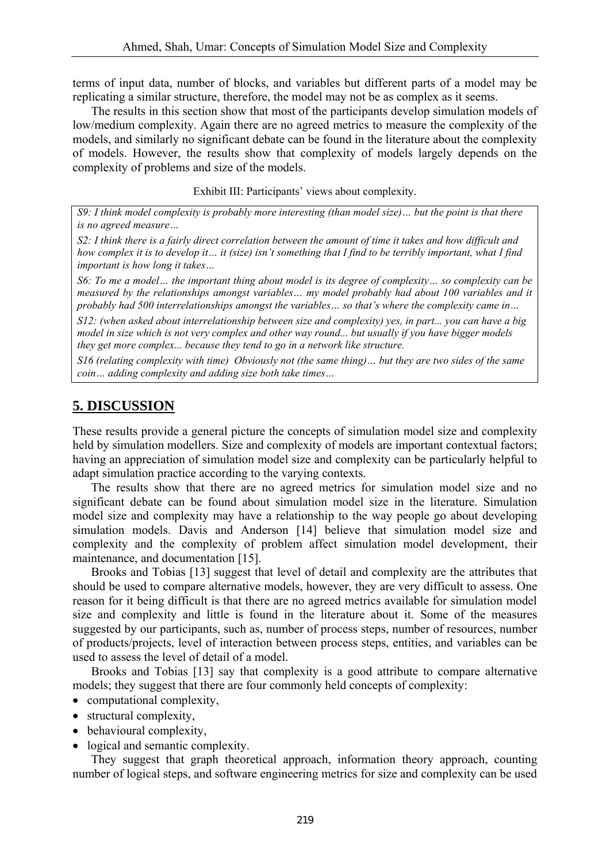terms of input data, number of blocks, and variables but different parts of a model may be replicating a similar structure, therefore, the model may not be as complex as it seems.

 The results in this section show that most of the participants develop simulation models of low/medium complexity. Again there are no agreed metrics to measure the complexity of the models, and similarly no significant debate can be found in the literature about the complexity of models. However, the results show that complexity of models largely depends on the complexity of problems and size of the models.

Exhibit III: Participants' views about complexity.

*S9: I think model complexity is probably more interesting (than model size)… but the point is that there is no agreed measure…*

*S2: I think there is a fairly direct correlation between the amount of time it takes and how difficult and how complex it is to develop it… it (size) isn't something that I find to be terribly important, what I find important is how long it takes…*

*S6: To me a model… the important thing about model is its degree of complexity… so complexity can be measured by the relationships amongst variables… my model probably had about 100 variables and it probably had 500 interrelationships amongst the variables… so that's where the complexity came in…* 

*S12: (when asked about interrelationship between size and complexity) yes, in part... you can have a big model in size which is not very complex and other way round... but usually if you have bigger models they get more complex... because they tend to go in a network like structure.* 

*S16 (relating complexity with time) Obviously not (the same thing)… but they are two sides of the same coin… adding complexity and adding size both take times…*

# **5. DISCUSSION**

These results provide a general picture the concepts of simulation model size and complexity held by simulation modellers. Size and complexity of models are important contextual factors; having an appreciation of simulation model size and complexity can be particularly helpful to adapt simulation practice according to the varying contexts.

 The results show that there are no agreed metrics for simulation model size and no significant debate can be found about simulation model size in the literature. Simulation model size and complexity may have a relationship to the way people go about developing simulation models. Davis and Anderson [14] believe that simulation model size and complexity and the complexity of problem affect simulation model development, their maintenance, and documentation [15].

 Brooks and Tobias [13] suggest that level of detail and complexity are the attributes that should be used to compare alternative models, however, they are very difficult to assess. One reason for it being difficult is that there are no agreed metrics available for simulation model size and complexity and little is found in the literature about it. Some of the measures suggested by our participants, such as, number of process steps, number of resources, number of products/projects, level of interaction between process steps, entities, and variables can be used to assess the level of detail of a model.

 Brooks and Tobias [13] say that complexity is a good attribute to compare alternative models; they suggest that there are four commonly held concepts of complexity:

- computational complexity.
- structural complexity.
- behavioural complexity,
- logical and semantic complexity.

 They suggest that graph theoretical approach, information theory approach, counting number of logical steps, and software engineering metrics for size and complexity can be used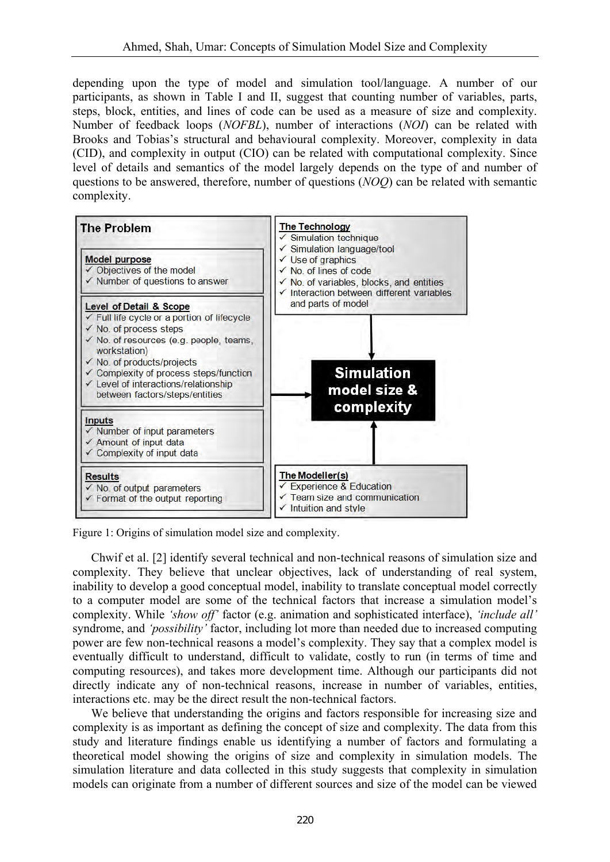depending upon the type of model and simulation tool/language. A number of our participants, as shown in Table I and II, suggest that counting number of variables, parts, steps, block, entities, and lines of code can be used as a measure of size and complexity. Number of feedback loops (*NOFBL*), number of interactions (*NOI*) can be related with Brooks and Tobias's structural and behavioural complexity. Moreover, complexity in data (CID), and complexity in output (CIO) can be related with computational complexity. Since level of details and semantics of the model largely depends on the type of and number of questions to be answered, therefore, number of questions (*NOQ*) can be related with semantic complexity.



Figure 1: Origins of simulation model size and complexity.

 Chwif et al. [2] identify several technical and non-technical reasons of simulation size and complexity. They believe that unclear objectives, lack of understanding of real system, inability to develop a good conceptual model, inability to translate conceptual model correctly to a computer model are some of the technical factors that increase a simulation model's complexity. While *'show off'* factor (e.g. animation and sophisticated interface), *'include all'* syndrome, and *'possibility'* factor, including lot more than needed due to increased computing power are few non-technical reasons a model's complexity. They say that a complex model is eventually difficult to understand, difficult to validate, costly to run (in terms of time and computing resources), and takes more development time. Although our participants did not directly indicate any of non-technical reasons, increase in number of variables, entities, interactions etc. may be the direct result the non-technical factors.

 We believe that understanding the origins and factors responsible for increasing size and complexity is as important as defining the concept of size and complexity. The data from this study and literature findings enable us identifying a number of factors and formulating a theoretical model showing the origins of size and complexity in simulation models. The simulation literature and data collected in this study suggests that complexity in simulation models can originate from a number of different sources and size of the model can be viewed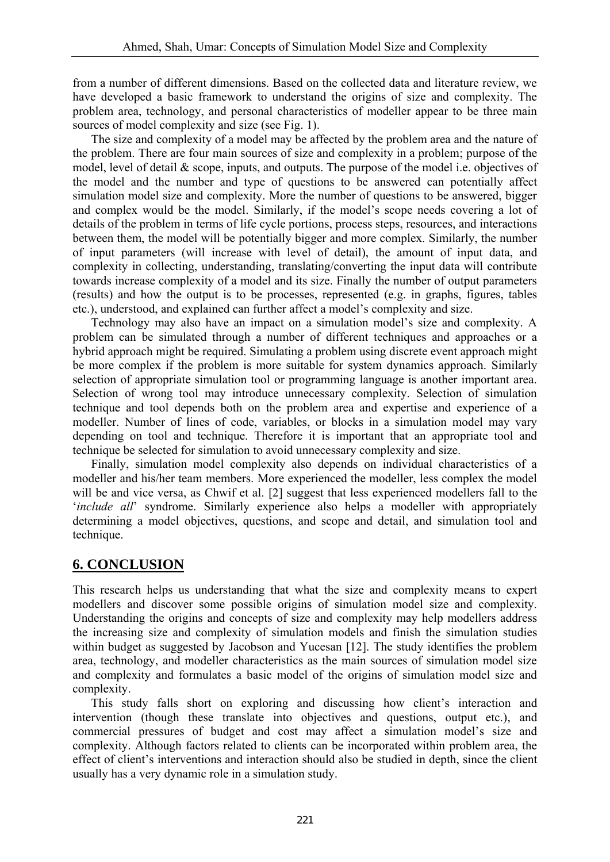from a number of different dimensions. Based on the collected data and literature review, we have developed a basic framework to understand the origins of size and complexity. The problem area, technology, and personal characteristics of modeller appear to be three main sources of model complexity and size (see Fig. 1).

 The size and complexity of a model may be affected by the problem area and the nature of the problem. There are four main sources of size and complexity in a problem; purpose of the model, level of detail & scope, inputs, and outputs. The purpose of the model i.e. objectives of the model and the number and type of questions to be answered can potentially affect simulation model size and complexity. More the number of questions to be answered, bigger and complex would be the model. Similarly, if the model's scope needs covering a lot of details of the problem in terms of life cycle portions, process steps, resources, and interactions between them, the model will be potentially bigger and more complex. Similarly, the number of input parameters (will increase with level of detail), the amount of input data, and complexity in collecting, understanding, translating/converting the input data will contribute towards increase complexity of a model and its size. Finally the number of output parameters (results) and how the output is to be processes, represented (e.g. in graphs, figures, tables etc.), understood, and explained can further affect a model's complexity and size.

 Technology may also have an impact on a simulation model's size and complexity. A problem can be simulated through a number of different techniques and approaches or a hybrid approach might be required. Simulating a problem using discrete event approach might be more complex if the problem is more suitable for system dynamics approach. Similarly selection of appropriate simulation tool or programming language is another important area. Selection of wrong tool may introduce unnecessary complexity. Selection of simulation technique and tool depends both on the problem area and expertise and experience of a modeller. Number of lines of code, variables, or blocks in a simulation model may vary depending on tool and technique. Therefore it is important that an appropriate tool and technique be selected for simulation to avoid unnecessary complexity and size.

 Finally, simulation model complexity also depends on individual characteristics of a modeller and his/her team members. More experienced the modeller, less complex the model will be and vice versa, as Chwif et al. [2] suggest that less experienced modellers fall to the '*include all*' syndrome. Similarly experience also helps a modeller with appropriately determining a model objectives, questions, and scope and detail, and simulation tool and technique.

## **6. CONCLUSION**

This research helps us understanding that what the size and complexity means to expert modellers and discover some possible origins of simulation model size and complexity. Understanding the origins and concepts of size and complexity may help modellers address the increasing size and complexity of simulation models and finish the simulation studies within budget as suggested by Jacobson and Yucesan [12]. The study identifies the problem area, technology, and modeller characteristics as the main sources of simulation model size and complexity and formulates a basic model of the origins of simulation model size and complexity.

 This study falls short on exploring and discussing how client's interaction and intervention (though these translate into objectives and questions, output etc.), and commercial pressures of budget and cost may affect a simulation model's size and complexity. Although factors related to clients can be incorporated within problem area, the effect of client's interventions and interaction should also be studied in depth, since the client usually has a very dynamic role in a simulation study.